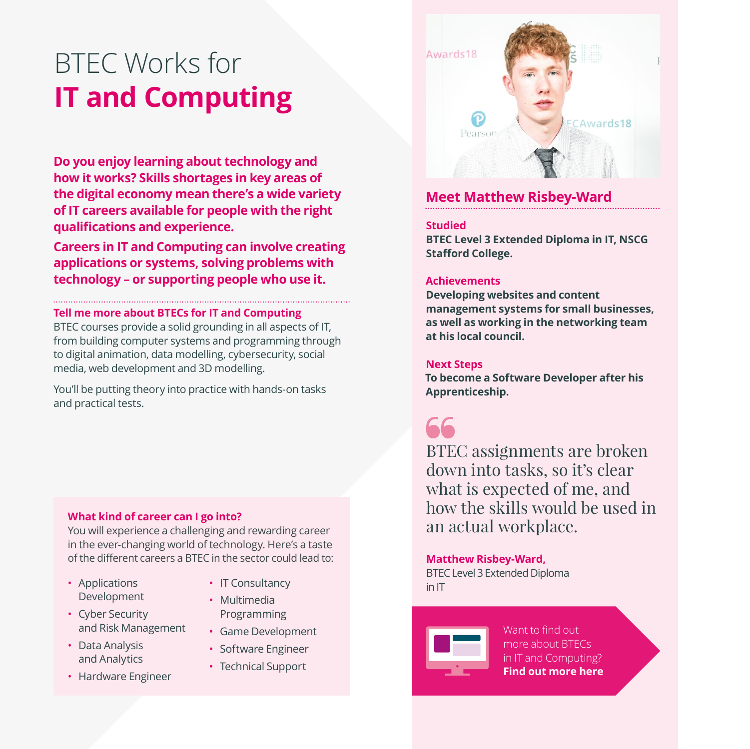# BTEC Works for **IT and Computing**

**Do you enjoy learning about technology and how it works? Skills shortages in key areas of the digital economy mean there's a wide variety of IT careers available for people with the right qualifications and experience.**

**Careers in IT and Computing can involve creating applications or systems, solving problems with technology – or supporting people who use it.**

#### **Tell me more about BTECs for IT and Computing**

BTEC courses provide a solid grounding in all aspects of IT, from building computer systems and programming through to digital animation, data modelling, cybersecurity, social media, web development and 3D modelling.

You'll be putting theory into practice with hands-on tasks and practical tests.

#### **What kind of career can I go into?**

You will experience a challenging and rewarding career in the ever-changing world of technology. Here's a taste of the different careers a BTEC in the sector could lead to:

- Applications Development
- Multimedia
- Cyber Security and Risk Management
- Data Analysis and Analytics
- Hardware Engineer
- IT Consultancy
- Programming
- Game Development
- Software Engineer
- Technical Support



### **Meet Matthew Risbey-Ward**

#### **Studied**

**BTEC Level 3 Extended Diploma in IT, NSCG Stafford College.**

#### **Achievements**

**Developing websites and content management systems for small businesses, as well as working in the networking team at his local council.**

#### **Next Steps**

**To become a Software Developer after his Apprenticeship.**



BTEC assignments are broken down into tasks, so it's clear what is expected of me, and how the skills would be used in an actual workplace.

#### **Matthew Risbey-Ward,**

BTEC Level 3 Extended Diploma in IT



Want to find out more about BTECs [in IT and Computing?](http://btecworks.com/computing)  **Find out more here**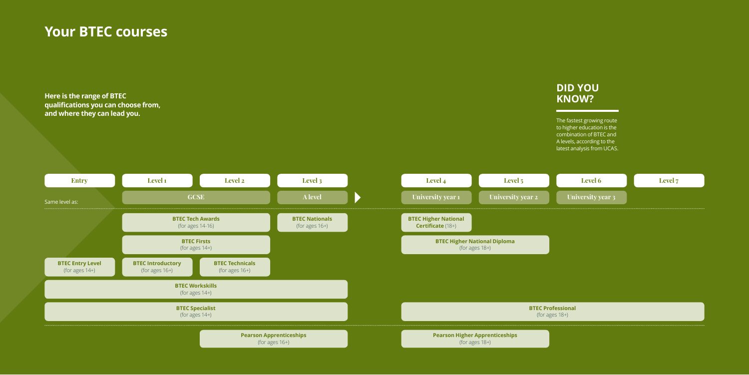## **Your BTEC courses**

**Here is the range of BTEC qualifications you can choose from, and where they can lead you.**



The fastest growing route to higher education is the combination of BTEC and A levels, according to the latest analysis from UCAS.

| <b>Level 6</b>    | Level 7 |
|-------------------|---------|
| University year 3 |         |

### **DID YOU KNOW?**